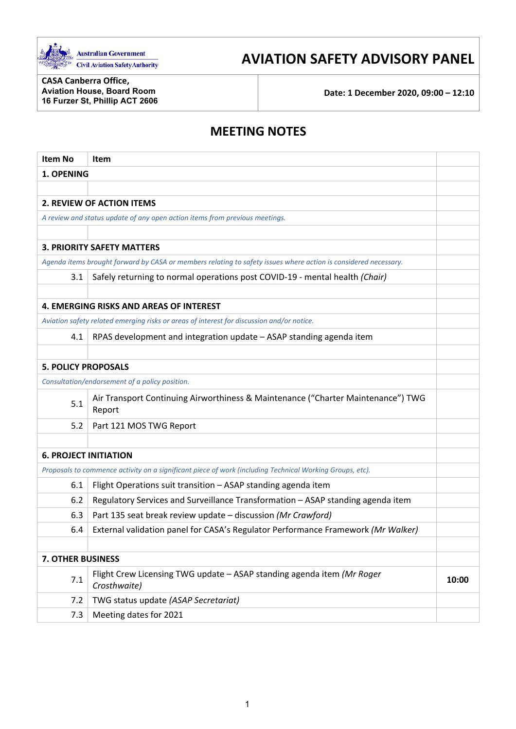

# **AVIATION SAFETY ADVISORY PANEL**

**CASA Canberra Office, Aviation House, Board Room 16 Furzer St, Phillip ACT 2606**

**Date: 1 December 2020, 09:00 – 12:10**

# **MEETING NOTES**

| <b>Item No</b>                                                                                                  | Item                                                                                       |       |
|-----------------------------------------------------------------------------------------------------------------|--------------------------------------------------------------------------------------------|-------|
| 1. OPENING                                                                                                      |                                                                                            |       |
|                                                                                                                 |                                                                                            |       |
| <b>2. REVIEW OF ACTION ITEMS</b>                                                                                |                                                                                            |       |
| A review and status update of any open action items from previous meetings.                                     |                                                                                            |       |
|                                                                                                                 |                                                                                            |       |
| <b>3. PRIORITY SAFETY MATTERS</b>                                                                               |                                                                                            |       |
| Agenda items brought forward by CASA or members relating to safety issues where action is considered necessary. |                                                                                            |       |
| 3.1                                                                                                             | Safely returning to normal operations post COVID-19 - mental health (Chair)                |       |
|                                                                                                                 |                                                                                            |       |
| <b>4. EMERGING RISKS AND AREAS OF INTEREST</b>                                                                  |                                                                                            |       |
| Aviation safety related emerging risks or areas of interest for discussion and/or notice.                       |                                                                                            |       |
| 4.1                                                                                                             | RPAS development and integration update - ASAP standing agenda item                        |       |
|                                                                                                                 |                                                                                            |       |
| <b>5. POLICY PROPOSALS</b>                                                                                      |                                                                                            |       |
|                                                                                                                 | Consultation/endorsement of a policy position.                                             |       |
| 5.1                                                                                                             | Air Transport Continuing Airworthiness & Maintenance ("Charter Maintenance") TWG<br>Report |       |
| 5.2                                                                                                             | Part 121 MOS TWG Report                                                                    |       |
|                                                                                                                 |                                                                                            |       |
| <b>6. PROJECT INITIATION</b>                                                                                    |                                                                                            |       |
| Proposals to commence activity on a significant piece of work (including Technical Working Groups, etc).        |                                                                                            |       |
| 6.1                                                                                                             | Flight Operations suit transition - ASAP standing agenda item                              |       |
| 6.2                                                                                                             | Regulatory Services and Surveillance Transformation - ASAP standing agenda item            |       |
| 6.3                                                                                                             | Part 135 seat break review update - discussion (Mr Crawford)                               |       |
| 6.4                                                                                                             | External validation panel for CASA's Regulator Performance Framework (Mr Walker)           |       |
|                                                                                                                 |                                                                                            |       |
| <b>7. OTHER BUSINESS</b>                                                                                        |                                                                                            |       |
| 7.1                                                                                                             | Flight Crew Licensing TWG update - ASAP standing agenda item (Mr Roger<br>Crosthwaite)     | 10:00 |
| 7.2                                                                                                             | TWG status update (ASAP Secretariat)                                                       |       |
| 7.3                                                                                                             | Meeting dates for 2021                                                                     |       |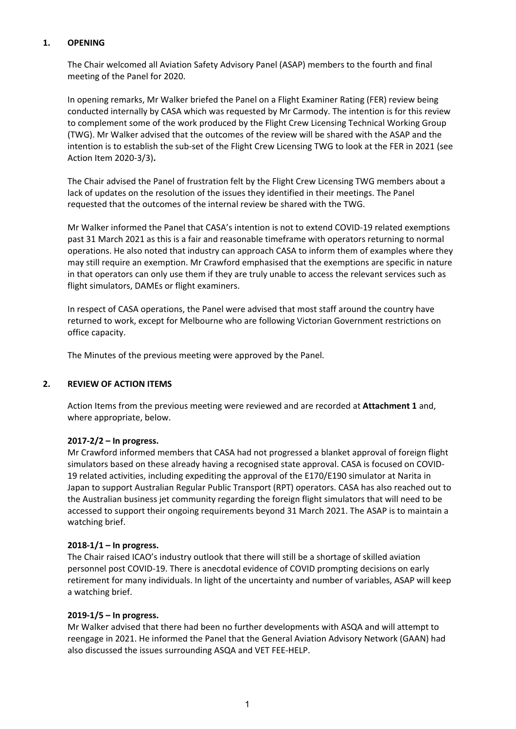# **1. OPENING**

The Chair welcomed all Aviation Safety Advisory Panel (ASAP) members to the fourth and final meeting of the Panel for 2020.

In opening remarks, Mr Walker briefed the Panel on a Flight Examiner Rating (FER) review being conducted internally by CASA which was requested by Mr Carmody. The intention is for this review to complement some of the work produced by the Flight Crew Licensing Technical Working Group (TWG). Mr Walker advised that the outcomes of the review will be shared with the ASAP and the intention is to establish the sub-set of the Flight Crew Licensing TWG to look at the FER in 2021 (see Action Item 2020-3/3)**.**

The Chair advised the Panel of frustration felt by the Flight Crew Licensing TWG members about a lack of updates on the resolution of the issues they identified in their meetings. The Panel requested that the outcomes of the internal review be shared with the TWG.

Mr Walker informed the Panel that CASA's intention is not to extend COVID-19 related exemptions past 31 March 2021 as this is a fair and reasonable timeframe with operators returning to normal operations. He also noted that industry can approach CASA to inform them of examples where they may still require an exemption. Mr Crawford emphasised that the exemptions are specific in nature in that operators can only use them if they are truly unable to access the relevant services such as flight simulators, DAMEs or flight examiners.

In respect of CASA operations, the Panel were advised that most staff around the country have returned to work, except for Melbourne who are following Victorian Government restrictions on office capacity.

The Minutes of the previous meeting were approved by the Panel.

## **2. REVIEW OF ACTION ITEMS**

Action Items from the previous meeting were reviewed and are recorded at **Attachment 1** and, where appropriate, below.

## **2017-2/2 – In progress.**

Mr Crawford informed members that CASA had not progressed a blanket approval of foreign flight simulators based on these already having a recognised state approval. CASA is focused on COVID-19 related activities, including expediting the approval of the E170/E190 simulator at Narita in Japan to support Australian Regular Public Transport (RPT) operators. CASA has also reached out to the Australian business jet community regarding the foreign flight simulators that will need to be accessed to support their ongoing requirements beyond 31 March 2021. The ASAP is to maintain a watching brief.

## **2018-1/1 – In progress.**

The Chair raised ICAO's industry outlook that there will still be a shortage of skilled aviation personnel post COVID-19. There is anecdotal evidence of COVID prompting decisions on early retirement for many individuals. In light of the uncertainty and number of variables, ASAP will keep a watching brief.

## **2019-1/5 – In progress.**

Mr Walker advised that there had been no further developments with ASQA and will attempt to reengage in 2021. He informed the Panel that the General Aviation Advisory Network (GAAN) had also discussed the issues surrounding ASQA and VET FEE-HELP.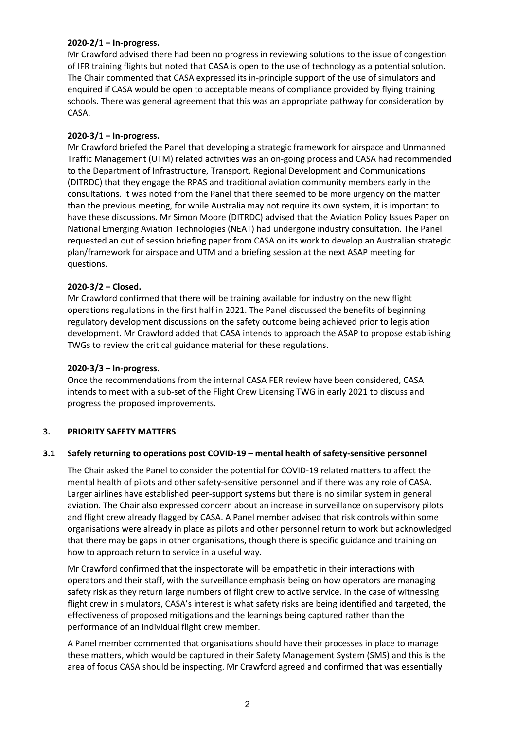# **2020-2/1 – In-progress.**

Mr Crawford advised there had been no progress in reviewing solutions to the issue of congestion of IFR training flights but noted that CASA is open to the use of technology as a potential solution. The Chair commented that CASA expressed its in-principle support of the use of simulators and enquired if CASA would be open to acceptable means of compliance provided by flying training schools. There was general agreement that this was an appropriate pathway for consideration by CASA.

# **2020-3/1 – In-progress.**

Mr Crawford briefed the Panel that developing a strategic framework for airspace and Unmanned Traffic Management (UTM) related activities was an on-going process and CASA had recommended to the Department of Infrastructure, Transport, Regional Development and Communications (DITRDC) that they engage the RPAS and traditional aviation community members early in the consultations. It was noted from the Panel that there seemed to be more urgency on the matter than the previous meeting, for while Australia may not require its own system, it is important to have these discussions. Mr Simon Moore (DITRDC) advised that the Aviation Policy Issues Paper on National Emerging Aviation Technologies (NEAT) had undergone industry consultation. The Panel requested an out of session briefing paper from CASA on its work to develop an Australian strategic plan/framework for airspace and UTM and a briefing session at the next ASAP meeting for questions.

# **2020-3/2 – Closed.**

Mr Crawford confirmed that there will be training available for industry on the new flight operations regulations in the first half in 2021. The Panel discussed the benefits of beginning regulatory development discussions on the safety outcome being achieved prior to legislation development. Mr Crawford added that CASA intends to approach the ASAP to propose establishing TWGs to review the critical guidance material for these regulations.

# **2020-3/3 – In-progress.**

Once the recommendations from the internal CASA FER review have been considered, CASA intends to meet with a sub-set of the Flight Crew Licensing TWG in early 2021 to discuss and progress the proposed improvements.

# **3. PRIORITY SAFETY MATTERS**

## **3.1 Safely returning to operations post COVID-19 – mental health of safety-sensitive personnel**

The Chair asked the Panel to consider the potential for COVID-19 related matters to affect the mental health of pilots and other safety-sensitive personnel and if there was any role of CASA. Larger airlines have established peer-support systems but there is no similar system in general aviation. The Chair also expressed concern about an increase in surveillance on supervisory pilots and flight crew already flagged by CASA. A Panel member advised that risk controls within some organisations were already in place as pilots and other personnel return to work but acknowledged that there may be gaps in other organisations, though there is specific guidance and training on how to approach return to service in a useful way.

Mr Crawford confirmed that the inspectorate will be empathetic in their interactions with operators and their staff, with the surveillance emphasis being on how operators are managing safety risk as they return large numbers of flight crew to active service. In the case of witnessing flight crew in simulators, CASA's interest is what safety risks are being identified and targeted, the effectiveness of proposed mitigations and the learnings being captured rather than the performance of an individual flight crew member.

A Panel member commented that organisations should have their processes in place to manage these matters, which would be captured in their Safety Management System (SMS) and this is the area of focus CASA should be inspecting. Mr Crawford agreed and confirmed that was essentially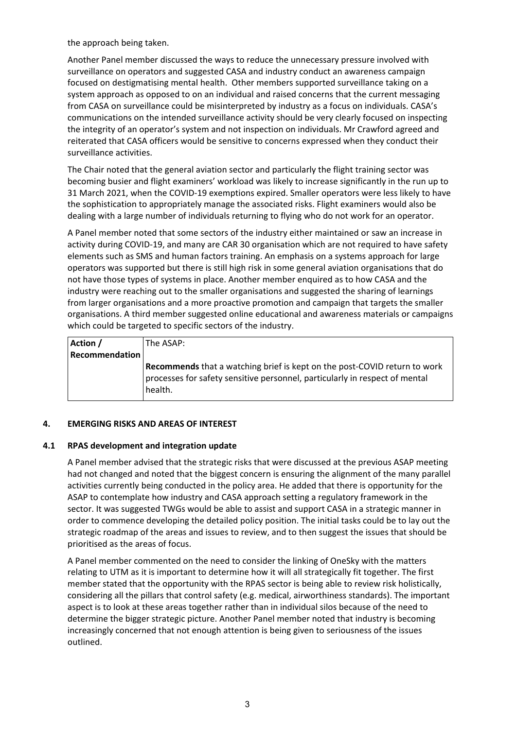the approach being taken.

Another Panel member discussed the ways to reduce the unnecessary pressure involved with surveillance on operators and suggested CASA and industry conduct an awareness campaign focused on destigmatising mental health. Other members supported surveillance taking on a system approach as opposed to on an individual and raised concerns that the current messaging from CASA on surveillance could be misinterpreted by industry as a focus on individuals. CASA's communications on the intended surveillance activity should be very clearly focused on inspecting the integrity of an operator's system and not inspection on individuals. Mr Crawford agreed and reiterated that CASA officers would be sensitive to concerns expressed when they conduct their surveillance activities.

The Chair noted that the general aviation sector and particularly the flight training sector was becoming busier and flight examiners' workload was likely to increase significantly in the run up to 31 March 2021, when the COVID-19 exemptions expired. Smaller operators were less likely to have the sophistication to appropriately manage the associated risks. Flight examiners would also be dealing with a large number of individuals returning to flying who do not work for an operator.

A Panel member noted that some sectors of the industry either maintained or saw an increase in activity during COVID-19, and many are CAR 30 organisation which are not required to have safety elements such as SMS and human factors training. An emphasis on a systems approach for large operators was supported but there is still high risk in some general aviation organisations that do not have those types of systems in place. Another member enquired as to how CASA and the industry were reaching out to the smaller organisations and suggested the sharing of learnings from larger organisations and a more proactive promotion and campaign that targets the smaller organisations. A third member suggested online educational and awareness materials or campaigns which could be targeted to specific sectors of the industry.

| Action /<br><b>Recommendation</b> | The ASAP:                                                                                                                                                           |
|-----------------------------------|---------------------------------------------------------------------------------------------------------------------------------------------------------------------|
|                                   | Recommends that a watching brief is kept on the post-COVID return to work<br>processes for safety sensitive personnel, particularly in respect of mental<br>health. |

## **4. EMERGING RISKS AND AREAS OF INTEREST**

## **4.1 RPAS development and integration update**

A Panel member advised that the strategic risks that were discussed at the previous ASAP meeting had not changed and noted that the biggest concern is ensuring the alignment of the many parallel activities currently being conducted in the policy area. He added that there is opportunity for the ASAP to contemplate how industry and CASA approach setting a regulatory framework in the sector. It was suggested TWGs would be able to assist and support CASA in a strategic manner in order to commence developing the detailed policy position. The initial tasks could be to lay out the strategic roadmap of the areas and issues to review, and to then suggest the issues that should be prioritised as the areas of focus.

A Panel member commented on the need to consider the linking of OneSky with the matters relating to UTM as it is important to determine how it will all strategically fit together. The first member stated that the opportunity with the RPAS sector is being able to review risk holistically, considering all the pillars that control safety (e.g. medical, airworthiness standards). The important aspect is to look at these areas together rather than in individual silos because of the need to determine the bigger strategic picture. Another Panel member noted that industry is becoming increasingly concerned that not enough attention is being given to seriousness of the issues outlined.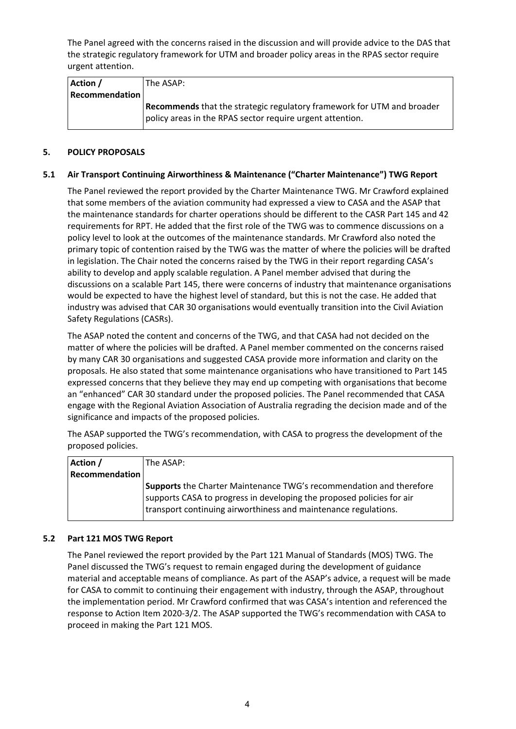The Panel agreed with the concerns raised in the discussion and will provide advice to the DAS that the strategic regulatory framework for UTM and broader policy areas in the RPAS sector require urgent attention.

| Action /              | The ASAP: l                                                            |
|-----------------------|------------------------------------------------------------------------|
| <b>Recommendation</b> |                                                                        |
|                       | Recommends that the strategic regulatory framework for UTM and broader |
|                       | policy areas in the RPAS sector require urgent attention.              |

# **5. POLICY PROPOSALS**

# **5.1 Air Transport Continuing Airworthiness & Maintenance ("Charter Maintenance") TWG Report**

The Panel reviewed the report provided by the Charter Maintenance TWG. Mr Crawford explained that some members of the aviation community had expressed a view to CASA and the ASAP that the maintenance standards for charter operations should be different to the CASR Part 145 and 42 requirements for RPT. He added that the first role of the TWG was to commence discussions on a policy level to look at the outcomes of the maintenance standards. Mr Crawford also noted the primary topic of contention raised by the TWG was the matter of where the policies will be drafted in legislation. The Chair noted the concerns raised by the TWG in their report regarding CASA's ability to develop and apply scalable regulation. A Panel member advised that during the discussions on a scalable Part 145, there were concerns of industry that maintenance organisations would be expected to have the highest level of standard, but this is not the case. He added that industry was advised that CAR 30 organisations would eventually transition into the Civil Aviation Safety Regulations (CASRs).

The ASAP noted the content and concerns of the TWG, and that CASA had not decided on the matter of where the policies will be drafted. A Panel member commented on the concerns raised by many CAR 30 organisations and suggested CASA provide more information and clarity on the proposals. He also stated that some maintenance organisations who have transitioned to Part 145 expressed concerns that they believe they may end up competing with organisations that become an "enhanced" CAR 30 standard under the proposed policies. The Panel recommended that CASA engage with the Regional Aviation Association of Australia regrading the decision made and of the significance and impacts of the proposed policies.

The ASAP supported the TWG's recommendation, with CASA to progress the development of the proposed policies.

| Action /              | The ASAP:                                                                                                                                                                                                       |
|-----------------------|-----------------------------------------------------------------------------------------------------------------------------------------------------------------------------------------------------------------|
| <b>Recommendation</b> |                                                                                                                                                                                                                 |
|                       | Supports the Charter Maintenance TWG's recommendation and therefore<br>supports CASA to progress in developing the proposed policies for air<br>transport continuing airworthiness and maintenance regulations. |

## **5.2 Part 121 MOS TWG Report**

The Panel reviewed the report provided by the Part 121 Manual of Standards (MOS) TWG. The Panel discussed the TWG's request to remain engaged during the development of guidance material and acceptable means of compliance. As part of the ASAP's advice, a request will be made for CASA to commit to continuing their engagement with industry, through the ASAP, throughout the implementation period. Mr Crawford confirmed that was CASA's intention and referenced the response to Action Item 2020-3/2. The ASAP supported the TWG's recommendation with CASA to proceed in making the Part 121 MOS.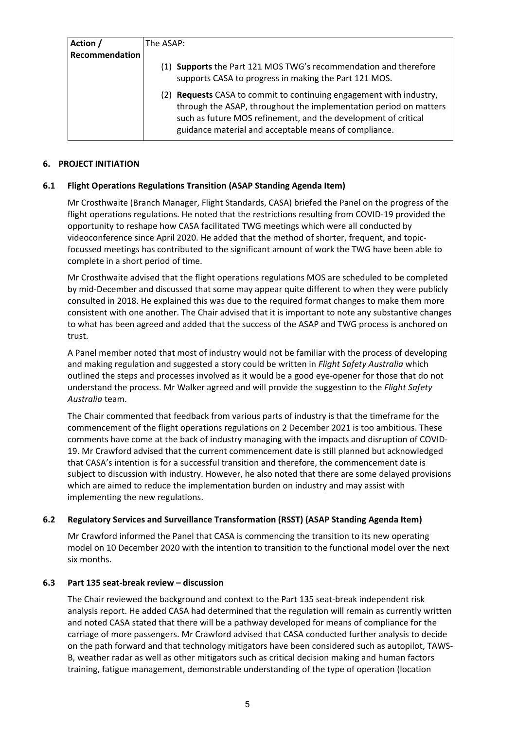| Action /       | The ASAP:                                                                                                                                                                                                                                                              |  |
|----------------|------------------------------------------------------------------------------------------------------------------------------------------------------------------------------------------------------------------------------------------------------------------------|--|
| Recommendation |                                                                                                                                                                                                                                                                        |  |
|                | (1) Supports the Part 121 MOS TWG's recommendation and therefore<br>supports CASA to progress in making the Part 121 MOS.                                                                                                                                              |  |
|                | Requests CASA to commit to continuing engagement with industry,<br>(2)<br>through the ASAP, throughout the implementation period on matters<br>such as future MOS refinement, and the development of critical<br>guidance material and acceptable means of compliance. |  |

# **6. PROJECT INITIATION**

# **6.1 Flight Operations Regulations Transition (ASAP Standing Agenda Item)**

Mr Crosthwaite (Branch Manager, Flight Standards, CASA) briefed the Panel on the progress of the flight operations regulations. He noted that the restrictions resulting from COVID-19 provided the opportunity to reshape how CASA facilitated TWG meetings which were all conducted by videoconference since April 2020. He added that the method of shorter, frequent, and topicfocussed meetings has contributed to the significant amount of work the TWG have been able to complete in a short period of time.

Mr Crosthwaite advised that the flight operations regulations MOS are scheduled to be completed by mid-December and discussed that some may appear quite different to when they were publicly consulted in 2018. He explained this was due to the required format changes to make them more consistent with one another. The Chair advised that it is important to note any substantive changes to what has been agreed and added that the success of the ASAP and TWG process is anchored on trust.

A Panel member noted that most of industry would not be familiar with the process of developing and making regulation and suggested a story could be written in *Flight Safety Australia* which outlined the steps and processes involved as it would be a good eye-opener for those that do not understand the process. Mr Walker agreed and will provide the suggestion to the *Flight Safety Australia* team.

The Chair commented that feedback from various parts of industry is that the timeframe for the commencement of the flight operations regulations on 2 December 2021 is too ambitious. These comments have come at the back of industry managing with the impacts and disruption of COVID-19. Mr Crawford advised that the current commencement date is still planned but acknowledged that CASA's intention is for a successful transition and therefore, the commencement date is subject to discussion with industry. However, he also noted that there are some delayed provisions which are aimed to reduce the implementation burden on industry and may assist with implementing the new regulations.

# **6.2 Regulatory Services and Surveillance Transformation (RSST) (ASAP Standing Agenda Item)**

Mr Crawford informed the Panel that CASA is commencing the transition to its new operating model on 10 December 2020 with the intention to transition to the functional model over the next six months.

## **6.3 Part 135 seat-break review – discussion**

The Chair reviewed the background and context to the Part 135 seat-break independent risk analysis report. He added CASA had determined that the regulation will remain as currently written and noted CASA stated that there will be a pathway developed for means of compliance for the carriage of more passengers. Mr Crawford advised that CASA conducted further analysis to decide on the path forward and that technology mitigators have been considered such as autopilot, TAWS-B, weather radar as well as other mitigators such as critical decision making and human factors training, fatigue management, demonstrable understanding of the type of operation (location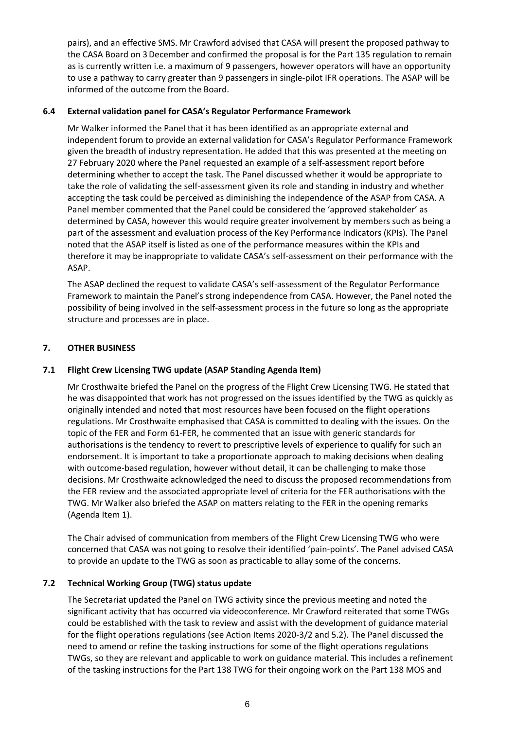pairs), and an effective SMS. Mr Crawford advised that CASA will present the proposed pathway to the CASA Board on 3December and confirmed the proposal is for the Part 135 regulation to remain as is currently written i.e. a maximum of 9 passengers, however operators will have an opportunity to use a pathway to carry greater than 9 passengers in single-pilot IFR operations. The ASAP will be informed of the outcome from the Board.

# **6.4 External validation panel for CASA's Regulator Performance Framework**

Mr Walker informed the Panel that it has been identified as an appropriate external and independent forum to provide an external validation for CASA's Regulator Performance Framework given the breadth of industry representation. He added that this was presented at the meeting on 27 February 2020 where the Panel requested an example of a self-assessment report before determining whether to accept the task. The Panel discussed whether it would be appropriate to take the role of validating the self-assessment given its role and standing in industry and whether accepting the task could be perceived as diminishing the independence of the ASAP from CASA. A Panel member commented that the Panel could be considered the 'approved stakeholder' as determined by CASA, however this would require greater involvement by members such as being a part of the assessment and evaluation process of the Key Performance Indicators (KPIs). The Panel noted that the ASAP itself is listed as one of the performance measures within the KPIs and therefore it may be inappropriate to validate CASA's self-assessment on their performance with the ASAP.

The ASAP declined the request to validate CASA's self-assessment of the Regulator Performance Framework to maintain the Panel's strong independence from CASA. However, the Panel noted the possibility of being involved in the self-assessment process in the future so long as the appropriate structure and processes are in place.

# **7. OTHER BUSINESS**

# **7.1 Flight Crew Licensing TWG update (ASAP Standing Agenda Item)**

Mr Crosthwaite briefed the Panel on the progress of the Flight Crew Licensing TWG. He stated that he was disappointed that work has not progressed on the issues identified by the TWG as quickly as originally intended and noted that most resources have been focused on the flight operations regulations. Mr Crosthwaite emphasised that CASA is committed to dealing with the issues. On the topic of the FER and Form 61-FER, he commented that an issue with generic standards for authorisations is the tendency to revert to prescriptive levels of experience to qualify for such an endorsement. It is important to take a proportionate approach to making decisions when dealing with outcome-based regulation, however without detail, it can be challenging to make those decisions. Mr Crosthwaite acknowledged the need to discuss the proposed recommendations from the FER review and the associated appropriate level of criteria for the FER authorisations with the TWG. Mr Walker also briefed the ASAP on matters relating to the FER in the opening remarks (Agenda Item 1).

The Chair advised of communication from members of the Flight Crew Licensing TWG who were concerned that CASA was not going to resolve their identified 'pain-points'. The Panel advised CASA to provide an update to the TWG as soon as practicable to allay some of the concerns.

## **7.2 Technical Working Group (TWG) status update**

The Secretariat updated the Panel on TWG activity since the previous meeting and noted the significant activity that has occurred via videoconference. Mr Crawford reiterated that some TWGs could be established with the task to review and assist with the development of guidance material for the flight operations regulations (see Action Items 2020-3/2 and 5.2). The Panel discussed the need to amend or refine the tasking instructions for some of the flight operations regulations TWGs, so they are relevant and applicable to work on guidance material. This includes a refinement of the tasking instructions for the Part 138 TWG for their ongoing work on the Part 138 MOS and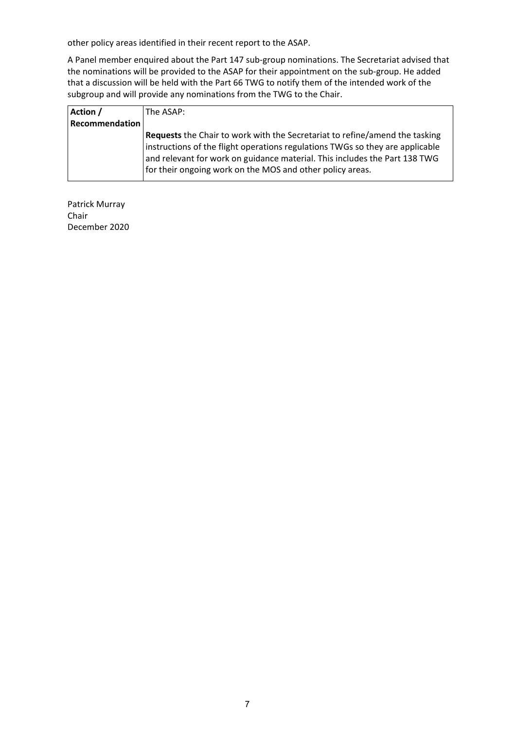other policy areas identified in their recent report to the ASAP.

A Panel member enquired about the Part 147 sub-group nominations. The Secretariat advised that the nominations will be provided to the ASAP for their appointment on the sub-group. He added that a discussion will be held with the Part 66 TWG to notify them of the intended work of the subgroup and will provide any nominations from the TWG to the Chair.

| Action /       | The ASAP: \                                                                                                                                                                                                                                                                                             |
|----------------|---------------------------------------------------------------------------------------------------------------------------------------------------------------------------------------------------------------------------------------------------------------------------------------------------------|
| Recommendation |                                                                                                                                                                                                                                                                                                         |
|                | Requests the Chair to work with the Secretariat to refine/amend the tasking<br>instructions of the flight operations regulations TWGs so they are applicable<br>and relevant for work on guidance material. This includes the Part 138 TWG<br>for their ongoing work on the MOS and other policy areas. |

Patrick Murray Chair December 2020